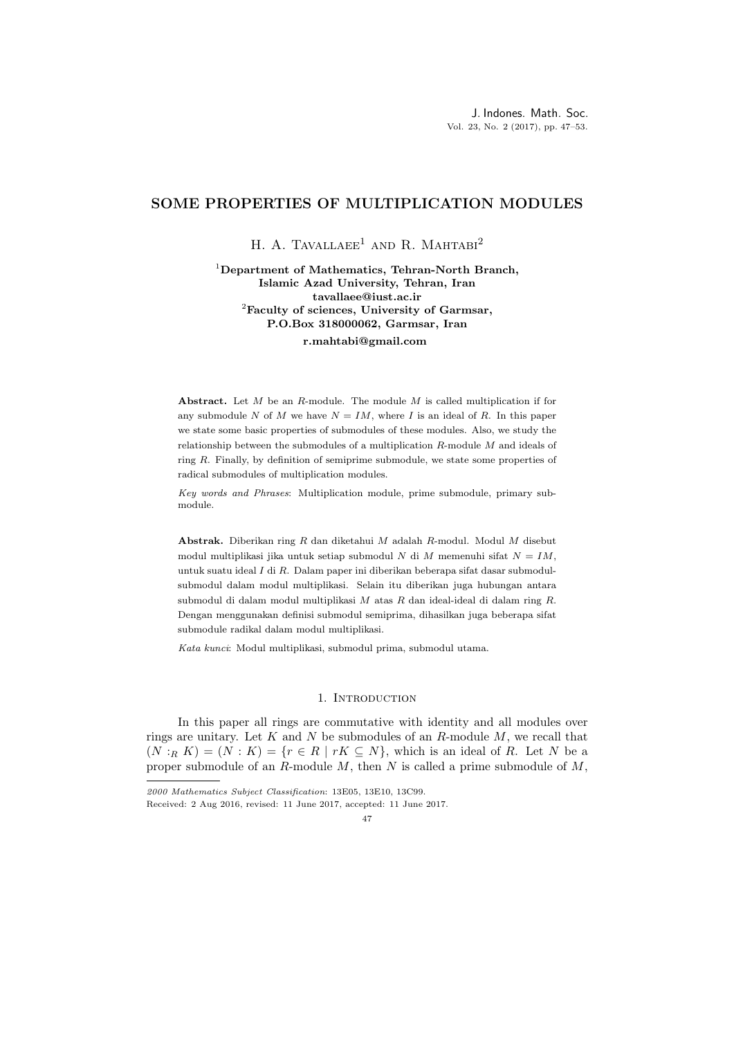## SOME PROPERTIES OF MULTIPLICATION MODULES

H. A. TAVALLAEE<sup>1</sup> AND R. MAHTABI<sup>2</sup>

<sup>1</sup>Department of Mathematics, Tehran-North Branch, Islamic Azad University, Tehran, Iran tavallaee@iust.ac.ir  ${}^{2}$ Faculty of sciences, University of Garmsar, P.O.Box 318000062, Garmsar, Iran

r.mahtabi@gmail.com

Abstract. Let  $M$  be an  $R$ -module. The module  $M$  is called multiplication if for any submodule N of M we have  $N = IM$ , where I is an ideal of R. In this paper we state some basic properties of submodules of these modules. Also, we study the relationship between the submodules of a multiplication R-module M and ideals of ring  $R$ . Finally, by definition of semiprime submodule, we state some properties of radical submodules of multiplication modules.

Key words and Phrases: Multiplication module, prime submodule, primary submodule.

Abstrak. Diberikan ring R dan diketahui M adalah R-modul. Modul M disebut modul multiplikasi jika untuk setiap submodul N di M memenuhi sifat  $N = IM$ , untuk suatu ideal I di R. Dalam paper ini diberikan beberapa sifat dasar submodulsubmodul dalam modul multiplikasi. Selain itu diberikan juga hubungan antara submodul di dalam modul multiplikasi  $M$  atas  $R$  dan ideal-ideal di dalam ring  $R$ . Dengan menggunakan definisi submodul semiprima, dihasilkan juga beberapa sifat submodule radikal dalam modul multiplikasi.

Kata kunci: Modul multiplikasi, submodul prima, submodul utama.

## 1. INTRODUCTION

In this paper all rings are commutative with identity and all modules over rings are unitary. Let K and N be submodules of an R-module  $M$ , we recall that  $(N:_{R} K) = (N: K) = \{r \in R \mid rK \subseteq N\}$ , which is an ideal of R. Let N be a proper submodule of an  $R$ -module  $M$ , then  $N$  is called a prime submodule of  $M$ ,

47

<sup>2000</sup> Mathematics Subject Classification: 13E05, 13E10, 13C99.

Received: 2 Aug 2016, revised: 11 June 2017, accepted: 11 June 2017.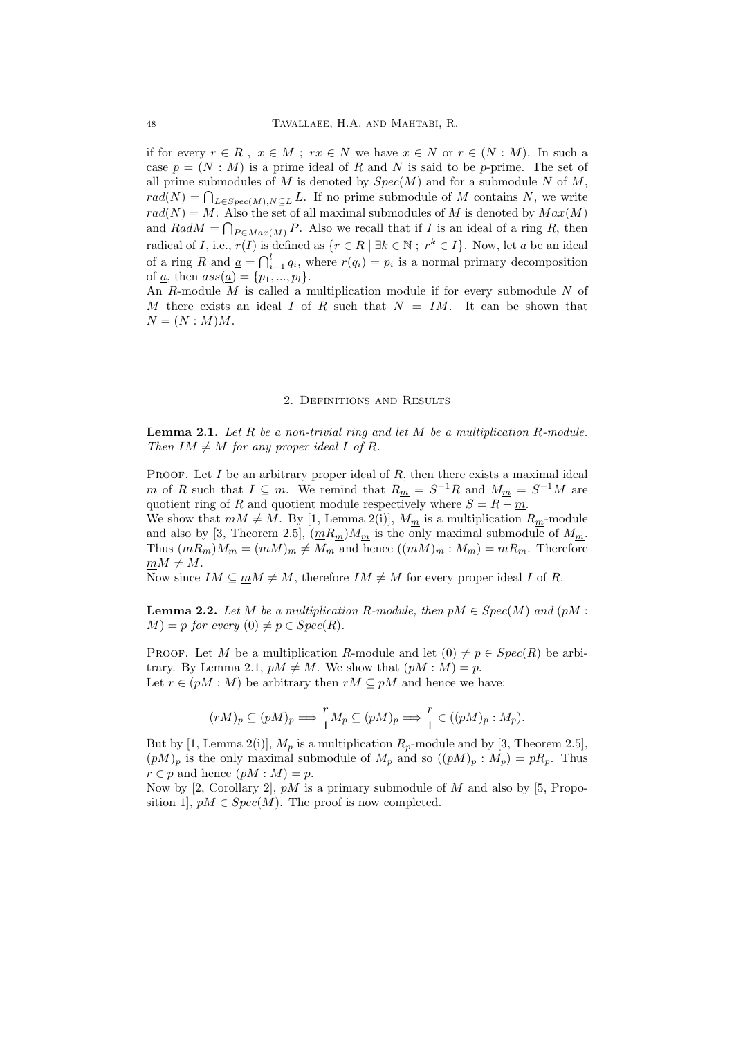if for every  $r \in R$ ,  $x \in M$ ;  $rx \in N$  we have  $x \in N$  or  $r \in (N : M)$ . In such a case  $p = (N : M)$  is a prime ideal of R and N is said to be p-prime. The set of all prime submodules of M is denoted by  $Spec(M)$  and for a submodule N of M,  $rad(N) = \bigcap_{L \in Spec(M), N \subseteq L} L$ . If no prime submodule of M contains N, we write  $rad(N) = M$ . Also the set of all maximal submodules of M is denoted by  $Max(M)$ and  $RadM = \bigcap_{P \in Max(M)} P$ . Also we recall that if I is an ideal of a ring R, then radical of *I*, i.e.,  $r(I)$  is defined as  $\{r \in R \mid \exists k \in \mathbb{N} : r^k \in I\}$ . Now, let  $\underline{a}$  be an ideal of a ring R and  $\underline{a} = \bigcap_{i=1}^{l} q_i$ , where  $r(q_i) = p_i$  is a normal primary decomposition of <u>a</u>, then  $ass(\underline{a}) = \{p_1, ..., p_l\}.$ 

An  $R$ -module  $M$  is called a multiplication module if for every submodule  $N$  of M there exists an ideal I of R such that  $N = IM$ . It can be shown that  $N = (N : M)M$ .

## 2. Definitions and Results

**Lemma 2.1.** Let R be a non-trivial ring and let M be a multiplication R-module. Then  $IM \neq M$  for any proper ideal I of R.

PROOF. Let  $I$  be an arbitrary proper ideal of  $R$ , then there exists a maximal ideal <u>m</u> of R such that  $I \subseteq \underline{m}$ . We remind that  $R_{\underline{m}} = S^{-1}R$  and  $M_{\underline{m}} = S^{-1}M$  are quotient ring of R and quotient module respectively where  $S = R - m$ .

We show that  $\underline{m}M \neq M$ . By [1, Lemma 2(i)],  $M_{\underline{m}}$  is a multiplication  $R_{\underline{m}}$ -module and also by [3, Theorem 2.5],  $\left(\underline{m}R_{\underline{m}}\right)M_{\underline{m}}$  is the only maximal submodule of  $M_{\underline{m}}$ . Thus  $(\underline{m}R_{\underline{m}})M_{\underline{m}} = (\underline{m}M)_{\underline{m}} \neq M_{\underline{m}}$  and hence  $((\underline{m}M)_{\underline{m}} : M_{\underline{m}}) = \underline{m}R_{\underline{m}}$ . Therefore  $mM \neq M$ .

Now since  $IM \subseteq mM \neq M$ , therefore  $IM \neq M$  for every proper ideal I of R.

**Lemma 2.2.** Let M be a multiplication R-module, then  $pM \in Spec(M)$  and  $(pM :$  $M$ ) = p for every (0)  $\neq p \in Spec(R)$ .

PROOF. Let M be a multiplication R-module and let  $(0) \neq p \in Spec(R)$  be arbitrary. By Lemma 2.1,  $pM \neq M$ . We show that  $(pM : M) = p$ . Let  $r \in (pM : M)$  be arbitrary then  $rM \subseteq pM$  and hence we have:

$$
(rM)_p \subseteq (pM)_p \Longrightarrow \frac{r}{1}M_p \subseteq (pM)_p \Longrightarrow \frac{r}{1} \in ((pM)_p : M_p).
$$

But by [1, Lemma 2(i)],  $M_p$  is a multiplication  $R_p$ -module and by [3, Theorem 2.5],  $(pM)_p$  is the only maximal submodule of  $M_p$  and so  $((pM)_p : M_p) = pR_p$ . Thus  $r \in p$  and hence  $(pM : M) = p$ .

Now by [2, Corollary 2],  $pM$  is a primary submodule of M and also by [5, Proposition 1],  $pM \in Spec(M)$ . The proof is now completed.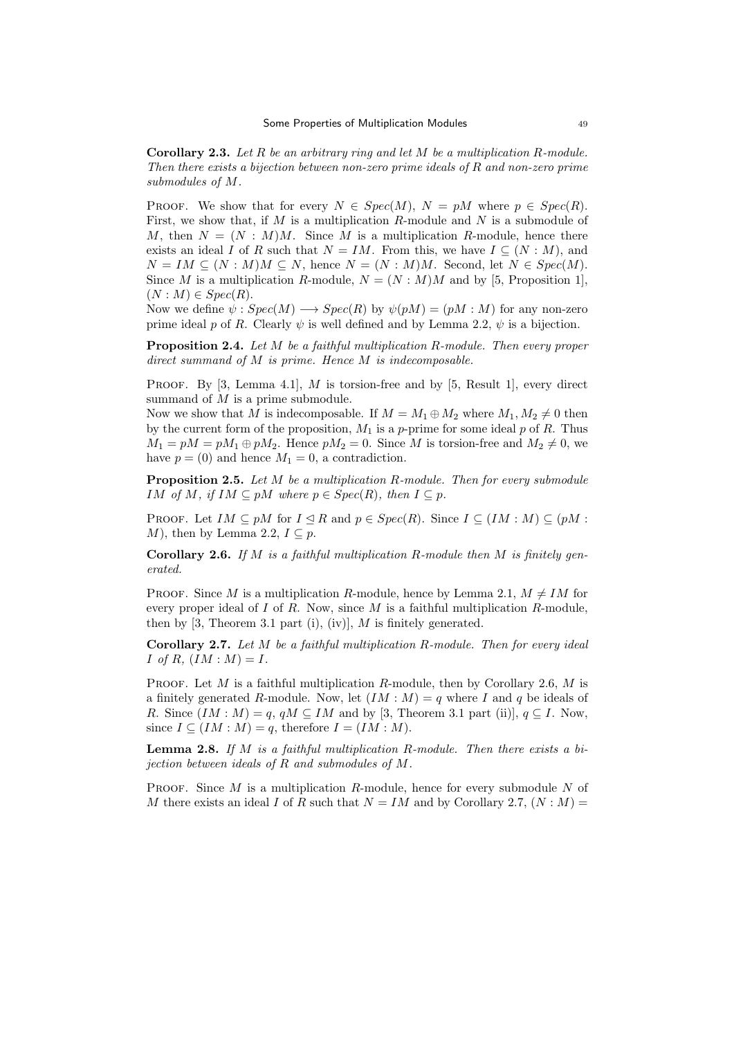**Corollary 2.3.** Let R be an arbitrary ring and let M be a multiplication R-module. Then there exists a bijection between non-zero prime ideals of  $R$  and non-zero prime submodules of M.

PROOF. We show that for every  $N \in Spec(M)$ ,  $N = pM$  where  $p \in Spec(R)$ . First, we show that, if  $M$  is a multiplication  $R$ -module and  $N$  is a submodule of M, then  $N = (N : M)M$ . Since M is a multiplication R-module, hence there exists an ideal I of R such that  $N = IM$ . From this, we have  $I \subseteq (N : M)$ , and  $N = IM \subseteq (N : M)M \subseteq N$ , hence  $N = (N : M)M$ . Second, let  $N \in Spec(M)$ . Since M is a multiplication R-module,  $N = (N : M)M$  and by [5, Proposition 1],  $(N : M) \in Spec(R)$ .

Now we define  $\psi$ :  $Spec(M) \longrightarrow Spec(R)$  by  $\psi(pM) = (pM : M)$  for any non-zero prime ideal p of R. Clearly  $\psi$  is well defined and by Lemma 2.2,  $\psi$  is a bijection.

**Proposition 2.4.** Let M be a faithful multiplication R-module. Then every proper direct summand of M is prime. Hence M is indecomposable.

PROOF. By  $[3, \text{ Lemma } 4.1], M$  is torsion-free and by  $[5, \text{ Result } 1],$  every direct summand of  $M$  is a prime submodule.

Now we show that M is indecomposable. If  $M = M_1 \oplus M_2$  where  $M_1, M_2 \neq 0$  then by the current form of the proposition,  $M_1$  is a p-prime for some ideal p of R. Thus  $M_1 = pM = pM_1 \oplus pM_2$ . Hence  $pM_2 = 0$ . Since M is torsion-free and  $M_2 \neq 0$ , we have  $p = (0)$  and hence  $M_1 = 0$ , a contradiction.

Proposition 2.5. Let M be a multiplication R-module. Then for every submodule IM of M, if  $IM \subseteq pM$  where  $p \in Spec(R)$ , then  $I \subseteq p$ .

PROOF. Let  $IM \subseteq pM$  for  $I \triangleleft R$  and  $p \in Spec(R)$ . Since  $I \subseteq (IM : M) \subseteq (pM : M)$ M), then by Lemma 2.2,  $I \subseteq p$ .

**Corollary 2.6.** If M is a faithful multiplication R-module then M is finitely generated.

PROOF. Since M is a multiplication R-module, hence by Lemma 2.1,  $M \neq IM$  for every proper ideal of I of R. Now, since M is a faithful multiplication R-module, then by [3, Theorem 3.1 part (i), (iv)],  $M$  is finitely generated.

**Corollary 2.7.** Let  $M$  be a faithful multiplication  $R$ -module. Then for every ideal I of R,  $(IM : M) = I$ .

PROOF. Let  $M$  is a faithful multiplication  $R$ -module, then by Corollary 2.6,  $M$  is a finitely generated R-module. Now, let  $(IM : M) = q$  where I and q be ideals of R. Since  $(IM : M) = q$ ,  $qM \subseteq IM$  and by [3, Theorem 3.1 part (ii)],  $q \subseteq I$ . Now, since  $I \subseteq (IM : M) = q$ , therefore  $I = (IM : M)$ .

**Lemma 2.8.** If M is a faithful multiplication R-module. Then there exists a bijection between ideals of R and submodules of M.

PROOF. Since  $M$  is a multiplication  $R$ -module, hence for every submodule  $N$  of M there exists an ideal I of R such that  $N = IM$  and by Corollary 2.7,  $(N : M)$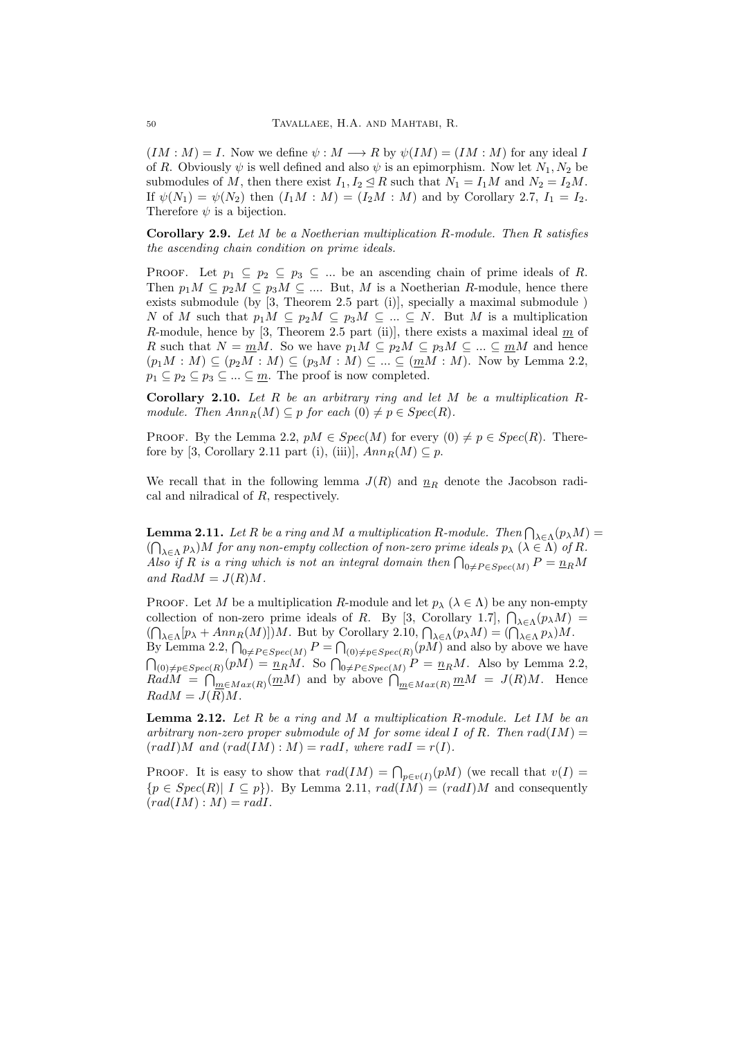$(IM : M) = I$ . Now we define  $\psi : M \longrightarrow R$  by  $\psi(IM) = (IM : M)$  for any ideal I of R. Obviously  $\psi$  is well defined and also  $\psi$  is an epimorphism. Now let  $N_1, N_2$  be submodules of M, then there exist  $I_1, I_2 \leq R$  such that  $N_1 = I_1M$  and  $N_2 = I_2M$ . If  $\psi(N_1) = \psi(N_2)$  then  $(I_1M : M) = (I_2M : M)$  and by Corollary 2.7,  $I_1 = I_2$ . Therefore  $\psi$  is a bijection.

Corollary 2.9. Let M be a Noetherian multiplication R-module. Then R satisfies the ascending chain condition on prime ideals.

PROOF. Let  $p_1 \subseteq p_2 \subseteq p_3 \subseteq ...$  be an ascending chain of prime ideals of R. Then  $p_1M \subseteq p_2M \subseteq p_3M \subseteq \dots$  But, M is a Noetherian R-module, hence there exists submodule (by [3, Theorem 2.5 part (i)], specially a maximal submodule ) N of M such that  $p_1M \subseteq p_2M \subseteq p_3M \subseteq ... \subseteq N$ . But M is a multiplication R-module, hence by  $[3,$  Theorem 2.5 part (ii)], there exists a maximal ideal  $m$  of R such that  $N = mM$ . So we have  $p_1M \subseteq p_2M \subseteq p_3M \subseteq ... \subseteq mM$  and hence  $(p_1M : M) \subseteq (p_2M : M) \subseteq (p_3M : M) \subseteq ... \subseteq (mM : M)$ . Now by Lemma 2.2,  $p_1 \subseteq p_2 \subseteq p_3 \subseteq ... \subseteq \underline{m}$ . The proof is now completed.

**Corollary 2.10.** Let R be an arbitrary ring and let M be a multiplication  $R$ module. Then  $Ann_R(M) \subseteq p$  for each  $(0) \neq p \in Spec(R)$ .

PROOF. By the Lemma 2.2,  $pM \in Spec(M)$  for every  $(0) \neq p \in Spec(R)$ . Therefore by [3, Corollary 2.11 part (i), (iii)],  $Ann_R(M) \subseteq p$ .

We recall that in the following lemma  $J(R)$  and  $n_R$  denote the Jacobson radical and nilradical of R, respectively.

**Lemma 2.11.** Let R be a ring and M a multiplication R-module. Then  $\bigcap_{\lambda \in \Lambda} (p_{\lambda}M)$  =  $(\bigcap_{\lambda \in \Lambda} p_{\lambda})M$  for any non-empty collection of non-zero prime ideals  $p_{\lambda}$   $(\lambda \in \Lambda)$  of R. Also if R is a ring which is not an integral domain then  $\bigcap_{0 \neq P \in Spec(M)} P = \underline{n}_R M$ and  $RadM = J(R)M$ .

PROOF. Let M be a multiplication R-module and let  $p_{\lambda}$  ( $\lambda \in \Lambda$ ) be any non-empty collection of non-zero prime ideals of R. By [3, Corollary 1.7],  $\bigcap_{\lambda \in \Lambda} (p_{\lambda}M)$ CONSECTION OF HOT-ZELO PHINE RIGISS OF THE BY LOT BOYS COLORED 1.1, THE  $\lambda \in \Lambda(p_{\lambda}M)$ <br>  $(\bigcap_{\lambda \in \Lambda} [p_{\lambda} + Ann_R(M)]\big)M$ . But by Corollary 2.10,  $\bigcap_{\lambda \in \Lambda} (p_{\lambda}M) = (\bigcap_{\lambda \in \Lambda} p_{\lambda})M$ . By Lemma 2.2,  $\bigcap_{0 \neq P \in Spec(M)} P = \bigcap_{0 \neq P \in Spec(R)} (pM)$  and also by above we have  $\bigcap_{(0)\neq p\in Spec(R)}(pM) = \underline{n}_RM$ . So  $\bigcap_{0\neq P\in Spec(M)} P = \underline{n}_RM$ . Also by Lemma 2.2,  $RadM = \bigcap_{m \in Max(R)} (mM)$  and by above  $\bigcap_{m \in Max(R)} mM = J(R)M$ . Hence  $RadM = J(\overline{R})M.$ 

**Lemma 2.12.** Let R be a ring and M a multiplication R-module. Let IM be an arbitrary non-zero proper submodule of M for some ideal I of R. Then  $rad(IM)$  =  $(radI)M$  and  $(radIM) : M) = radI$ , where  $radI = r(I)$ .

PROOF. It is easy to show that  $rad(IM) = \bigcap_{p \in v(I)} (pM)$  (we recall that  $v(I) =$  ${p \in Spec(R) | I \subseteq p}$ . By Lemma 2.11,  $rad(IM) = (radI)M$  and consequently  $(radIM): M) = radI.$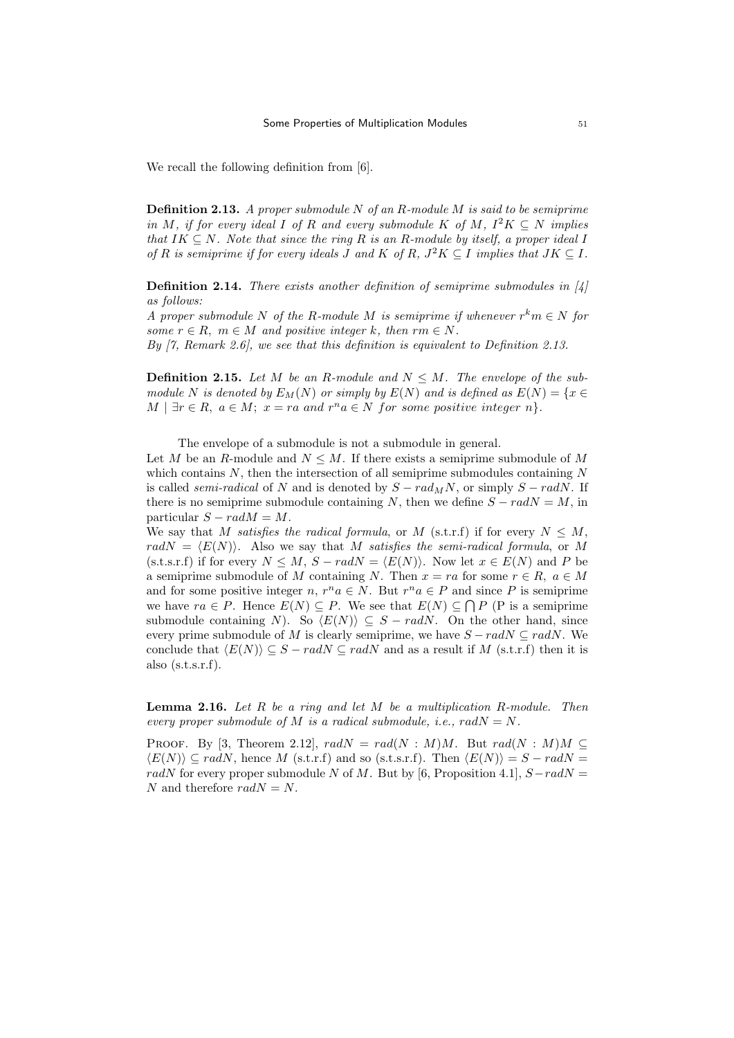We recall the following definition from [6].

**Definition 2.13.** A proper submodule N of an R-module M is said to be semiprime in M, if for every ideal I of R and every submodule K of M,  $I^2K \subseteq N$  implies that  $IK \subseteq N$ . Note that since the ring R is an R-module by itself, a proper ideal I of R is semiprime if for every ideals J and K of R,  $J^2K \subseteq I$  implies that  $JK \subseteq I$ .

**Definition 2.14.** There exists another definition of semiprime submodules in  $\vert 4 \vert$ as follows:

A proper submodule N of the R-module M is semiprime if whenever  $r^k m \in N$  for some  $r \in R$ ,  $m \in M$  and positive integer k, then  $rm \in N$ .

By [7, Remark 2.6], we see that this definition is equivalent to Definition 2.13.

**Definition 2.15.** Let M be an R-module and  $N \leq M$ . The envelope of the submodule N is denoted by  $E_M(N)$  or simply by  $E(N)$  and is defined as  $E(N) = \{x \in$  $M \mid \exists r \in R, a \in M; x = ra \text{ and } r^n a \in N \text{ for some positive integer } n$ .

The envelope of a submodule is not a submodule in general.

Let M be an R-module and  $N \leq M$ . If there exists a semiprime submodule of M which contains  $N$ , then the intersection of all semiprime submodules containing  $N$ is called *semi-radical* of N and is denoted by  $S - rad_MN$ , or simply  $S - radN$ . If there is no semiprime submodule containing N, then we define  $S - radN = M$ , in particular  $S - radM = M$ .

We say that M satisfies the radical formula, or M (s.t.r.f) if for every  $N \leq M$ , rad $N = \langle E(N) \rangle$ . Also we say that M satisfies the semi-radical formula, or M (s.t.s.r.f) if for every  $N \leq M$ ,  $S - radN = \langle E(N) \rangle$ . Now let  $x \in E(N)$  and P be a semiprime submodule of M containing N. Then  $x = ra$  for some  $r \in R$ ,  $a \in M$ and for some positive integer  $n, r^n a \in N$ . But  $r^n a \in P$  and since P is semiprime we have  $ra \in P$ . Hence  $E(N) \subseteq P$ . We see that  $E(N) \subseteq \bigcap P$  (P is a semiprime submodule containing N). So  $\langle E(N) \rangle \subseteq S - radN$ . On the other hand, since every prime submodule of M is clearly semiprime, we have  $S - radN \subseteq radN$ . We conclude that  $\langle E(N) \rangle \subseteq S - radN \subseteq radN$  and as a result if M (s.t.r.f) then it is also  $(s.t.s.r.f)$ .

**Lemma 2.16.** Let  $R$  be a ring and let  $M$  be a multiplication  $R$ -module. Then every proper submodule of M is a radical submodule, i.e.,  $radN = N$ .

PROOF. By [3, Theorem 2.12],  $radN = rad(N : M)M$ . But  $rad(N : M)M \subseteq$  $\langle E(N) \rangle \subseteq radN$ , hence M (s.t.r.f) and so (s.t.s.r.f). Then  $\langle E(N) \rangle = S - radN =$ radN for every proper submodule N of M. But by [6, Proposition 4.1],  $S-ra dN =$ N and therefore  $radN = N$ .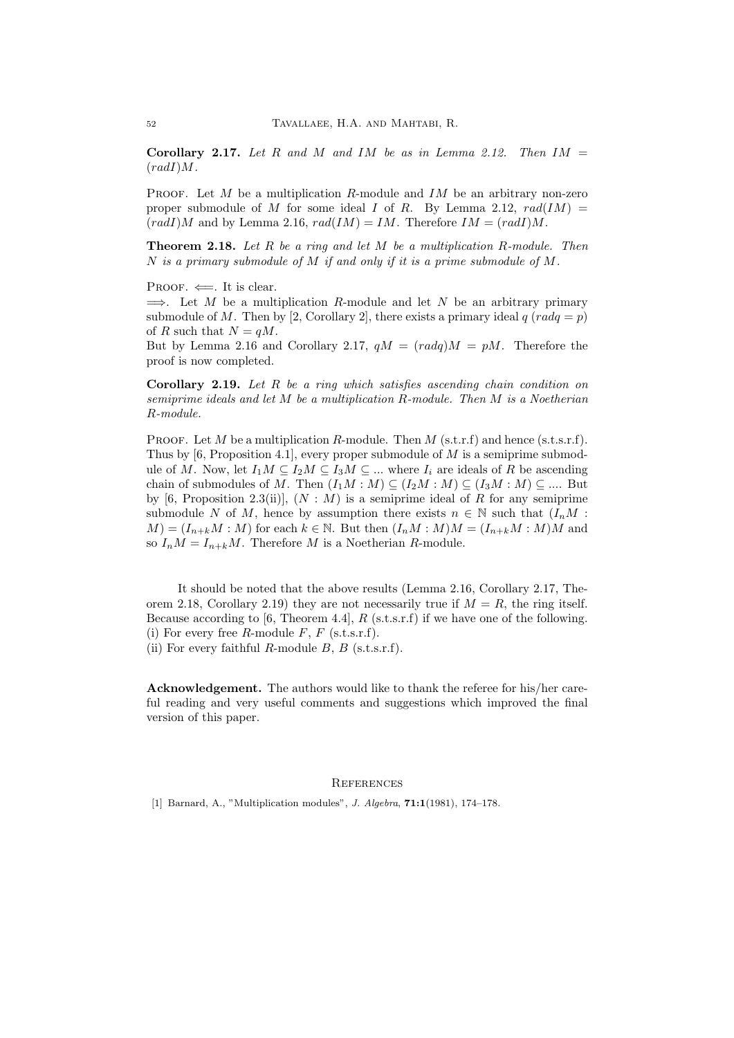Corollary 2.17. Let R and M and IM be as in Lemma 2.12. Then  $IM =$  $(radI)M.$ 

PROOF. Let M be a multiplication R-module and  $IM$  be an arbitrary non-zero proper submodule of M for some ideal I of R. By Lemma 2.12,  $rad(IM)$  =  $(radI)M$  and by Lemma 2.16,  $rad(IM) = IM$ . Therefore  $IM = (radI)M$ .

**Theorem 2.18.** Let  $R$  be a ring and let  $M$  be a multiplication  $R$ -module. Then N is a primary submodule of  $M$  if and only if it is a prime submodule of  $M$ .

PROOF.  $\Leftarrow$ . It is clear.

 $\implies$ . Let M be a multiplication R-module and let N be an arbitrary primary submodule of M. Then by [2, Corollary 2], there exists a primary ideal  $q \ (radq = p)$ of R such that  $N = qM$ .

But by Lemma 2.16 and Corollary 2.17,  $qM = (radq)M = pM$ . Therefore the proof is now completed.

**Corollary 2.19.** Let  $R$  be a ring which satisfies ascending chain condition on semiprime ideals and let  $M$  be a multiplication  $R$ -module. Then  $M$  is a Noetherian R-module.

PROOF. Let M be a multiplication R-module. Then M (s.t.r.f) and hence (s.t.s.r.f). Thus by [6, Proposition 4.1], every proper submodule of  $M$  is a semiprime submodule of M. Now, let  $I_1M \subseteq I_2M \subseteq I_3M \subseteq ...$  where  $I_i$  are ideals of R be ascending chain of submodules of M. Then  $(I_1M : M) \subseteq (I_2M : M) \subseteq (I_3M : M) \subseteq ...$  But by [6, Proposition 2.3(ii)],  $(N : M)$  is a semiprime ideal of R for any semiprime submodule N of M, hence by assumption there exists  $n \in \mathbb{N}$  such that  $(I_nM)$ :  $M = (I_{n+k}M : M)$  for each  $k \in \mathbb{N}$ . But then  $(I_nM : M)M = (I_{n+k}M : M)M$  and so  $I_nM = I_{n+k}M$ . Therefore M is a Noetherian R-module.

It should be noted that the above results (Lemma 2.16, Corollary 2.17, Theorem 2.18, Corollary 2.19) they are not necessarily true if  $M = R$ , the ring itself. Because according to [6, Theorem 4.4],  $R$  (s.t.s.r.f) if we have one of the following. (i) For every free R-module  $F$ ,  $F$  (s.t.s.r.f). (ii) For every faithful R-module B, B (s.t.s.r.f).

Acknowledgement. The authors would like to thank the referee for his/her careful reading and very useful comments and suggestions which improved the final version of this paper.

## **REFERENCES**

[1] Barnard, A., "Multiplication modules", *J. Algebra*, **71:1**(1981), 174-178.